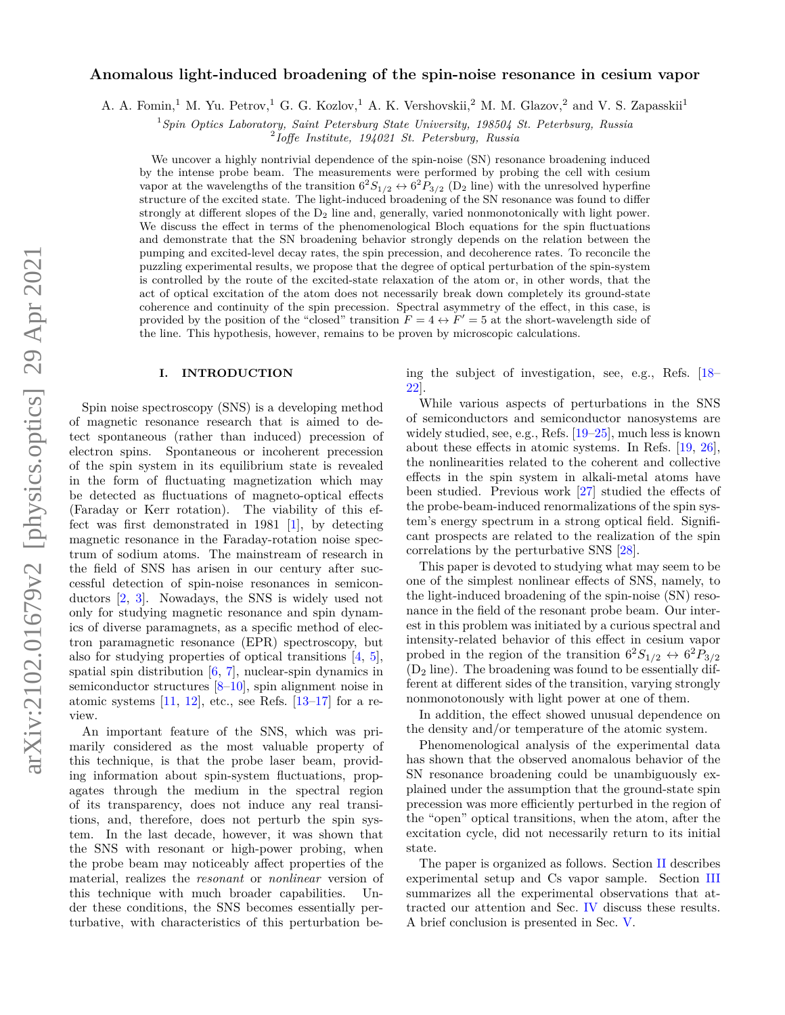# arXiv:2102.01679v2 [physics.optics] 29 Apr 2021 arXiv:2102.01679v2 [physics.optics] 29 Apr 2021

# **Anomalous light-induced broadening of the spin-noise resonance in cesium vapor**

A. A. Fomin,<sup>1</sup> M. Yu. Petrov,<sup>1</sup> G. G. Kozlov,<sup>1</sup> A. K. Vershovskii,<sup>2</sup> M. M. Glazov,<sup>2</sup> and V. S. Zapasskii<sup>1</sup>

<sup>1</sup>*Spin Optics Laboratory, Saint Petersburg State University, 198504 St. Peterbsurg, Russia*

2 *Ioffe Institute, 194021 St. Petersburg, Russia*

We uncover a highly nontrivial dependence of the spin-noise (SN) resonance broadening induced by the intense probe beam. The measurements were performed by probing the cell with cesium vapor at the wavelengths of the transition  $6^2S_{1/2} \leftrightarrow 6^2P_{3/2}$  (D<sub>2</sub> line) with the unresolved hyperfine structure of the excited state. The light-induced broadening of the SN resonance was found to differ strongly at different slopes of the  $D_2$  line and, generally, varied nonmonotonically with light power. We discuss the effect in terms of the phenomenological Bloch equations for the spin fluctuations and demonstrate that the SN broadening behavior strongly depends on the relation between the pumping and excited-level decay rates, the spin precession, and decoherence rates. To reconcile the puzzling experimental results, we propose that the degree of optical perturbation of the spin-system is controlled by the route of the excited-state relaxation of the atom or, in other words, that the act of optical excitation of the atom does not necessarily break down completely its ground-state coherence and continuity of the spin precession. Spectral asymmetry of the effect, in this case, is provided by the position of the "closed" transition  $F = 4 \leftrightarrow F' = 5$  at the short-wavelength side of the line. This hypothesis, however, remains to be proven by microscopic calculations.

# **I. INTRODUCTION**

Spin noise spectroscopy (SNS) is a developing method of magnetic resonance research that is aimed to detect spontaneous (rather than induced) precession of electron spins. Spontaneous or incoherent precession of the spin system in its equilibrium state is revealed in the form of fluctuating magnetization which may be detected as fluctuations of magneto-optical effects (Faraday or Kerr rotation). The viability of this effect was first demonstrated in 1981 [\[1\]](#page-7-0), by detecting magnetic resonance in the Faraday-rotation noise spectrum of sodium atoms. The mainstream of research in the field of SNS has arisen in our century after successful detection of spin-noise resonances in semiconductors [\[2,](#page-7-1) [3\]](#page-7-2). Nowadays, the SNS is widely used not only for studying magnetic resonance and spin dynamics of diverse paramagnets, as a specific method of electron paramagnetic resonance (EPR) spectroscopy, but also for studying properties of optical transitions [\[4,](#page-7-3) [5\]](#page-7-4), spatial spin distribution [\[6,](#page-7-5) [7\]](#page-7-6), nuclear-spin dynamics in semiconductor structures [\[8](#page-7-7)[–10\]](#page-8-0), spin alignment noise in atomic systems  $[11, 12]$  $[11, 12]$  $[11, 12]$ , etc., see Refs.  $[13-17]$  $[13-17]$  for a review.

An important feature of the SNS, which was primarily considered as the most valuable property of this technique, is that the probe laser beam, providing information about spin-system fluctuations, propagates through the medium in the spectral region of its transparency, does not induce any real transitions, and, therefore, does not perturb the spin system. In the last decade, however, it was shown that the SNS with resonant or high-power probing, when the probe beam may noticeably affect properties of the material, realizes the *resonant* or *nonlinear* version of this technique with much broader capabilities. Under these conditions, the SNS becomes essentially perturbative, with characteristics of this perturbation being the subject of investigation, see, e.g., Refs. [\[18–](#page-8-5) [22\]](#page-8-6).

While various aspects of perturbations in the SNS of semiconductors and semiconductor nanosystems are widely studied, see, e.g., Refs. [\[19–](#page-8-7)[25\]](#page-8-8), much less is known about these effects in atomic systems. In Refs. [\[19,](#page-8-7) [26\]](#page-8-9), the nonlinearities related to the coherent and collective effects in the spin system in alkali-metal atoms have been studied. Previous work [\[27\]](#page-8-10) studied the effects of the probe-beam-induced renormalizations of the spin system's energy spectrum in a strong optical field. Significant prospects are related to the realization of the spin correlations by the perturbative SNS [\[28\]](#page-8-11).

This paper is devoted to studying what may seem to be one of the simplest nonlinear effects of SNS, namely, to the light-induced broadening of the spin-noise (SN) resonance in the field of the resonant probe beam. Our interest in this problem was initiated by a curious spectral and intensity-related behavior of this effect in cesium vapor probed in the region of the transition  $6^2S_{1/2} \leftrightarrow 6^2P_{3/2}$  $(D_2)$  line). The broadening was found to be essentially different at different sides of the transition, varying strongly nonmonotonously with light power at one of them.

In addition, the effect showed unusual dependence on the density and/or temperature of the atomic system.

Phenomenological analysis of the experimental data has shown that the observed anomalous behavior of the SN resonance broadening could be unambiguously explained under the assumption that the ground-state spin precession was more efficiently perturbed in the region of the "open" optical transitions, when the atom, after the excitation cycle, did not necessarily return to its initial state.

The paper is organized as follows. Section [II](#page-1-0) describes experimental setup and Cs vapor sample. Section [III](#page-2-0) summarizes all the experimental observations that attracted our attention and Sec. [IV](#page-4-0) discuss these results. A brief conclusion is presented in Sec. [V.](#page-7-8)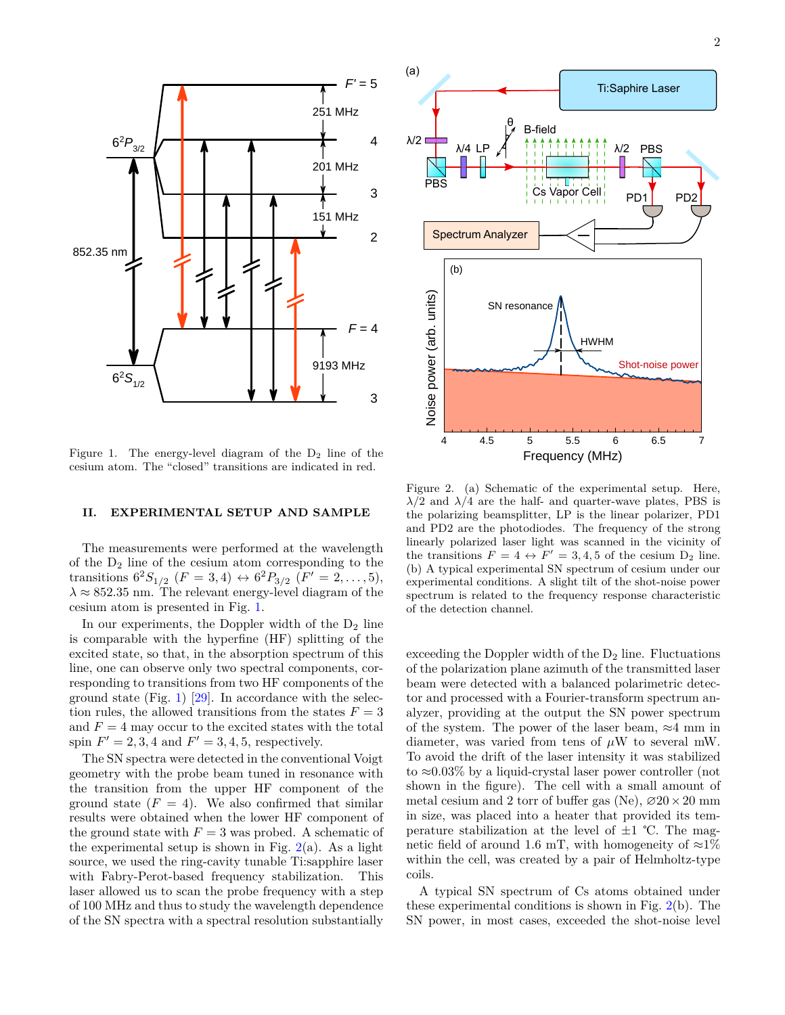<span id="page-1-1"></span>

Figure 1. The energy-level diagram of the  $D_2$  line of the cesium atom. The "closed" transitions are indicated in red.

### <span id="page-1-0"></span>**II. EXPERIMENTAL SETUP AND SAMPLE**

The measurements were performed at the wavelength of the  $D_2$  line of the cesium atom corresponding to the transitions  $6^2S_{1/2}$   $(F = 3, 4) \leftrightarrow 6^2P_{3/2}$   $(F' = 2, ..., 5)$ ,  $\lambda \approx 852.35$  nm. The relevant energy-level diagram of the cesium atom is presented in Fig. [1.](#page-1-1)

In our experiments, the Doppler width of the  $D_2$  line is comparable with the hyperfine (HF) splitting of the excited state, so that, in the absorption spectrum of this line, one can observe only two spectral components, corresponding to transitions from two HF components of the ground state (Fig. [1\)](#page-1-1)  $[29]$ . In accordance with the selection rules, the allowed transitions from the states  $F = 3$ and  $F = 4$  may occur to the excited states with the total spin  $F' = 2, 3, 4$  and  $F' = 3, 4, 5$ , respectively.

The SN spectra were detected in the conventional Voigt geometry with the probe beam tuned in resonance with the transition from the upper HF component of the ground state  $(F = 4)$ . We also confirmed that similar results were obtained when the lower HF component of the ground state with  $F = 3$  was probed. A schematic of the experimental setup is shown in Fig.  $2(a)$  $2(a)$ . As a light source, we used the ring-cavity tunable Ti:sapphire laser with Fabry-Perot-based frequency stabilization. This laser allowed us to scan the probe frequency with a step of 100 MHz and thus to study the wavelength dependence of the SN spectra with a spectral resolution substantially

<span id="page-1-2"></span>

Figure 2. (a) Schematic of the experimental setup. Here,  $\lambda/2$  and  $\lambda/4$  are the half- and quarter-wave plates, PBS is the polarizing beamsplitter, LP is the linear polarizer, PD1 and PD2 are the photodiodes. The frequency of the strong linearly polarized laser light was scanned in the vicinity of the transitions  $F = 4 \leftrightarrow F' = 3, 4, 5$  of the cesium  $D_2$  line. (b) A typical experimental SN spectrum of cesium under our experimental conditions. A slight tilt of the shot-noise power spectrum is related to the frequency response characteristic of the detection channel.

exceeding the Doppler width of the  $D_2$  line. Fluctuations of the polarization plane azimuth of the transmitted laser beam were detected with a balanced polarimetric detector and processed with a Fourier-transform spectrum analyzer, providing at the output the SN power spectrum of the system. The power of the laser beam,  $\approx 4$  mm in diameter, was varied from tens of *µ*W to several mW. To avoid the drift of the laser intensity it was stabilized to ≈0*.*03% by a liquid-crystal laser power controller (not shown in the figure). The cell with a small amount of metal cesium and 2 torr of buffer gas (Ne),  $\varnothing 20 \times 20$  mm in size, was placed into a heater that provided its temperature stabilization at the level of  $\pm 1$  °C. The magnetic field of around 1.6 mT, with homogeneity of  $\approx 1\%$ within the cell, was created by a pair of Helmholtz-type coils.

A typical SN spectrum of Cs atoms obtained under these experimental conditions is shown in Fig. [2\(](#page-1-2)b). The SN power, in most cases, exceeded the shot-noise level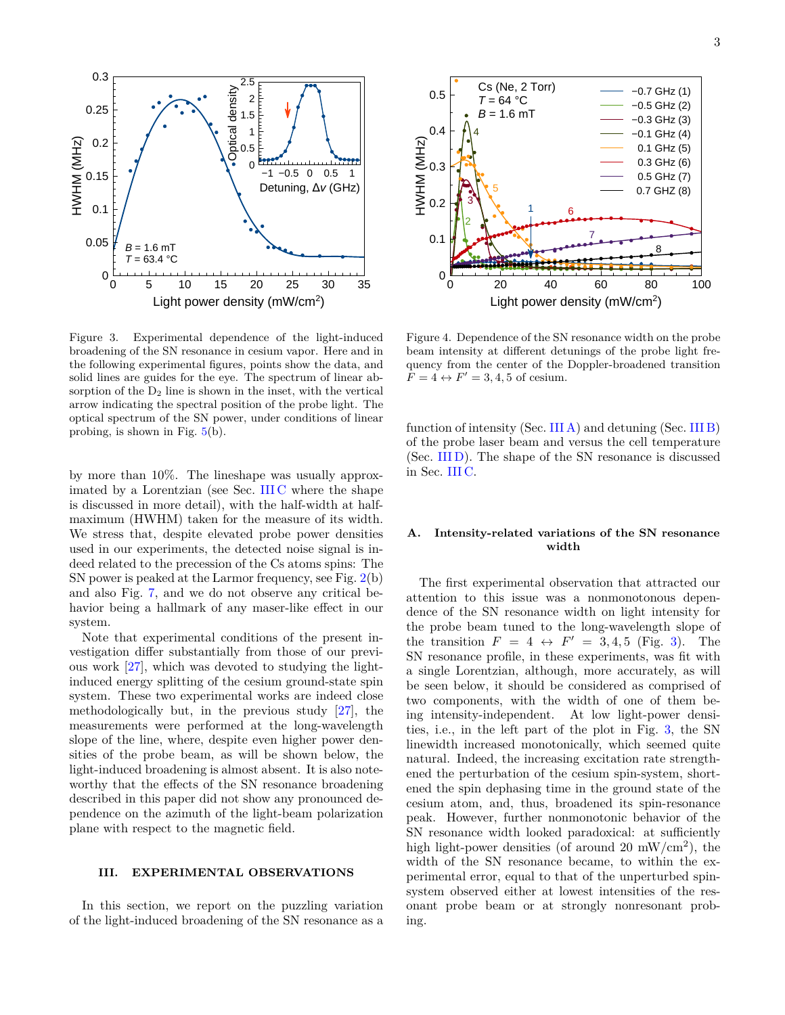<span id="page-2-2"></span>

Figure 3. Experimental dependence of the light-induced broadening of the SN resonance in cesium vapor. Here and in the following experimental figures, points show the data, and solid lines are guides for the eye. The spectrum of linear absorption of the  $D_2$  line is shown in the inset, with the vertical arrow indicating the spectral position of the probe light. The optical spectrum of the SN power, under conditions of linear probing, is shown in Fig.  $5(b)$  $5(b)$ .

by more than 10%. The lineshape was usually approximated by a Lorentzian (see Sec. [III C](#page-3-1) where the shape is discussed in more detail), with the half-width at halfmaximum (HWHM) taken for the measure of its width. We stress that, despite elevated probe power densities used in our experiments, the detected noise signal is indeed related to the precession of the Cs atoms spins: The SN power is peaked at the Larmor frequency, see Fig. [2\(](#page-1-2)b) and also Fig. [7,](#page-4-1) and we do not observe any critical behavior being a hallmark of any maser-like effect in our system.

Note that experimental conditions of the present investigation differ substantially from those of our previous work [\[27\]](#page-8-10), which was devoted to studying the lightinduced energy splitting of the cesium ground-state spin system. These two experimental works are indeed close methodologically but, in the previous study [\[27\]](#page-8-10), the measurements were performed at the long-wavelength slope of the line, where, despite even higher power densities of the probe beam, as will be shown below, the light-induced broadening is almost absent. It is also noteworthy that the effects of the SN resonance broadening described in this paper did not show any pronounced dependence on the azimuth of the light-beam polarization plane with respect to the magnetic field.

# <span id="page-2-0"></span>**III. EXPERIMENTAL OBSERVATIONS**

In this section, we report on the puzzling variation of the light-induced broadening of the SN resonance as a

<span id="page-2-3"></span>

Figure 4. Dependence of the SN resonance width on the probe beam intensity at different detunings of the probe light frequency from the center of the Doppler-broadened transition  $F = 4 \leftrightarrow F' = 3, 4, 5$  of cesium.

function of intensity (Sec. [III A\)](#page-2-1) and detuning (Sec. [III B\)](#page-3-2) of the probe laser beam and versus the cell temperature (Sec. [III D\)](#page-4-2). The shape of the SN resonance is discussed in Sec. [III C.](#page-3-1)

# <span id="page-2-1"></span>**A. Intensity-related variations of the SN resonance width**

The first experimental observation that attracted our attention to this issue was a nonmonotonous dependence of the SN resonance width on light intensity for the probe beam tuned to the long-wavelength slope of the transition  $F = 4 \leftrightarrow F' = 3, 4, 5$  (Fig. [3\)](#page-2-2). The SN resonance profile, in these experiments, was fit with a single Lorentzian, although, more accurately, as will be seen below, it should be considered as comprised of two components, with the width of one of them being intensity-independent. At low light-power densities, i.e., in the left part of the plot in Fig. [3,](#page-2-2) the SN linewidth increased monotonically, which seemed quite natural. Indeed, the increasing excitation rate strengthened the perturbation of the cesium spin-system, shortened the spin dephasing time in the ground state of the cesium atom, and, thus, broadened its spin-resonance peak. However, further nonmonotonic behavior of the SN resonance width looked paradoxical: at sufficiently high light-power densities (of around 20 mW/ $\text{cm}^2$ ), the width of the SN resonance became, to within the experimental error, equal to that of the unperturbed spinsystem observed either at lowest intensities of the resonant probe beam or at strongly nonresonant probing.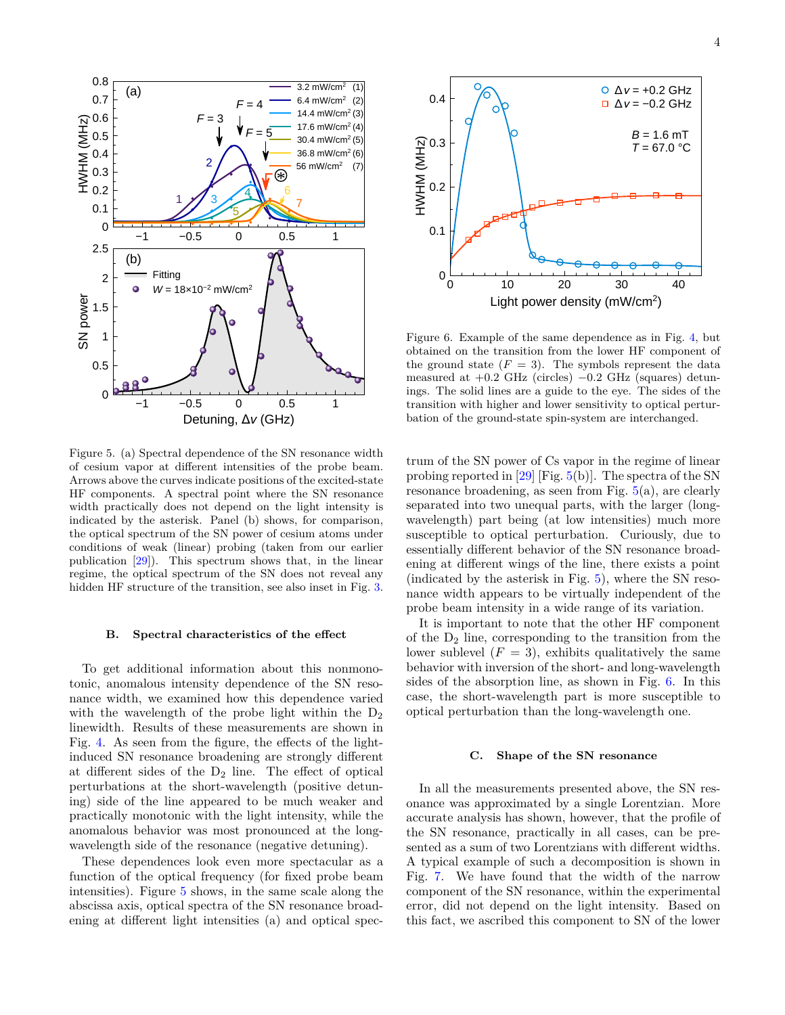<span id="page-3-0"></span>

Figure 5. (a) Spectral dependence of the SN resonance width of cesium vapor at different intensities of the probe beam. Arrows above the curves indicate positions of the excited-state HF components. A spectral point where the SN resonance width practically does not depend on the light intensity is indicated by the asterisk. Panel (b) shows, for comparison, the optical spectrum of the SN power of cesium atoms under conditions of weak (linear) probing (taken from our earlier publication [\[29\]](#page-8-12)). This spectrum shows that, in the linear regime, the optical spectrum of the SN does not reveal any hidden HF structure of the transition, see also inset in Fig. [3.](#page-2-2)

### <span id="page-3-2"></span>**B. Spectral characteristics of the effect**

To get additional information about this nonmonotonic, anomalous intensity dependence of the SN resonance width, we examined how this dependence varied with the wavelength of the probe light within the  $D_2$ linewidth. Results of these measurements are shown in Fig. [4.](#page-2-3) As seen from the figure, the effects of the lightinduced SN resonance broadening are strongly different at different sides of the  $D_2$  line. The effect of optical perturbations at the short-wavelength (positive detuning) side of the line appeared to be much weaker and practically monotonic with the light intensity, while the anomalous behavior was most pronounced at the longwavelength side of the resonance (negative detuning).

These dependences look even more spectacular as a function of the optical frequency (for fixed probe beam intensities). Figure [5](#page-3-0) shows, in the same scale along the abscissa axis, optical spectra of the SN resonance broadening at different light intensities (a) and optical spec-

<span id="page-3-3"></span>

Figure 6. Example of the same dependence as in Fig. [4,](#page-2-3) but obtained on the transition from the lower HF component of the ground state  $(F = 3)$ . The symbols represent the data measured at  $+0.2$  GHz (circles)  $-0.2$  GHz (squares) detunings. The solid lines are a guide to the eye. The sides of the transition with higher and lower sensitivity to optical perturbation of the ground-state spin-system are interchanged.

trum of the SN power of Cs vapor in the regime of linear probing reported in [\[29\]](#page-8-12) [Fig.  $5(b)$  $5(b)$ ]. The spectra of the SN resonance broadening, as seen from Fig.  $5(a)$  $5(a)$ , are clearly separated into two unequal parts, with the larger (longwavelength) part being (at low intensities) much more susceptible to optical perturbation. Curiously, due to essentially different behavior of the SN resonance broadening at different wings of the line, there exists a point (indicated by the asterisk in Fig. [5\)](#page-3-0), where the SN resonance width appears to be virtually independent of the probe beam intensity in a wide range of its variation.

It is important to note that the other HF component of the  $D_2$  line, corresponding to the transition from the lower sublevel  $(F = 3)$ , exhibits qualitatively the same behavior with inversion of the short- and long-wavelength sides of the absorption line, as shown in Fig. [6.](#page-3-3) In this case, the short-wavelength part is more susceptible to optical perturbation than the long-wavelength one.

## <span id="page-3-1"></span>**C. Shape of the SN resonance**

In all the measurements presented above, the SN resonance was approximated by a single Lorentzian. More accurate analysis has shown, however, that the profile of the SN resonance, practically in all cases, can be presented as a sum of two Lorentzians with different widths. A typical example of such a decomposition is shown in Fig. [7.](#page-4-1) We have found that the width of the narrow component of the SN resonance, within the experimental error, did not depend on the light intensity. Based on this fact, we ascribed this component to SN of the lower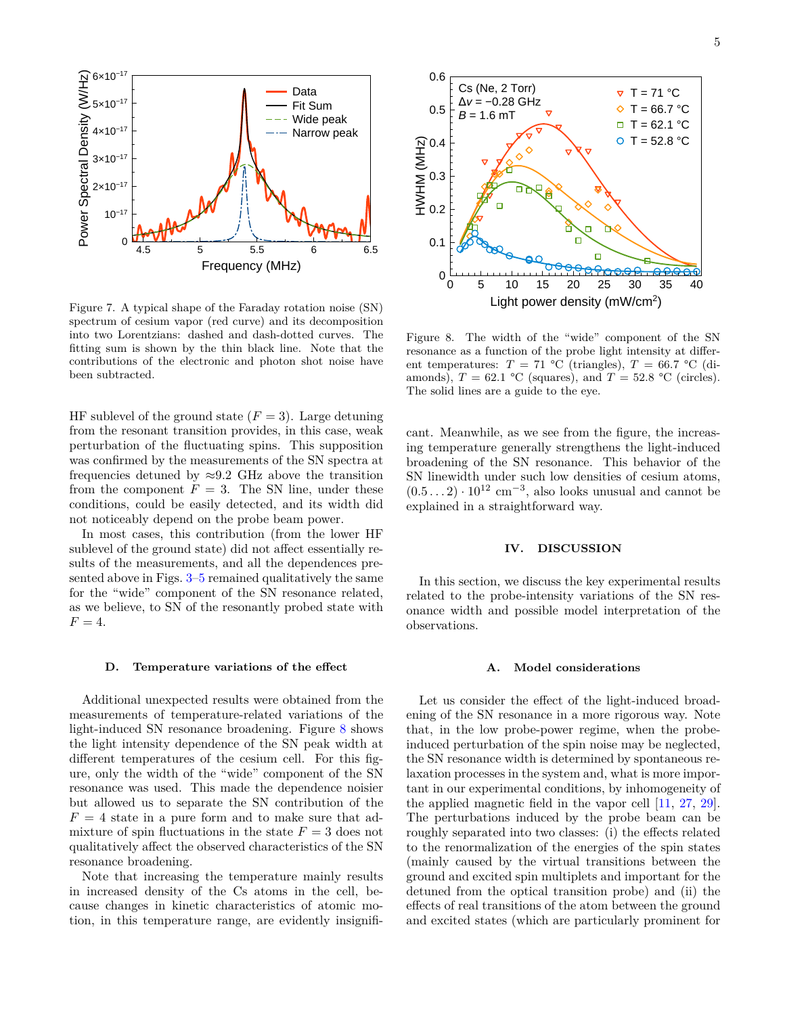<span id="page-4-1"></span>

Figure 7. A typical shape of the Faraday rotation noise (SN) spectrum of cesium vapor (red curve) and its decomposition into two Lorentzians: dashed and dash-dotted curves. The fitting sum is shown by the thin black line. Note that the contributions of the electronic and photon shot noise have been subtracted.

HF sublevel of the ground state  $(F = 3)$ . Large detuning from the resonant transition provides, in this case, weak perturbation of the fluctuating spins. This supposition was confirmed by the measurements of the SN spectra at frequencies detuned by  $\approx 9.2$  GHz above the transition from the component  $F = 3$ . The SN line, under these conditions, could be easily detected, and its width did not noticeably depend on the probe beam power.

In most cases, this contribution (from the lower HF sublevel of the ground state) did not affect essentially results of the measurements, and all the dependences presented above in Figs. [3–](#page-2-2)[5](#page-3-0) remained qualitatively the same for the "wide" component of the SN resonance related, as we believe, to SN of the resonantly probed state with  $F = 4.$ 

### <span id="page-4-2"></span>**D. Temperature variations of the effect**

Additional unexpected results were obtained from the measurements of temperature-related variations of the light-induced SN resonance broadening. Figure [8](#page-4-3) shows the light intensity dependence of the SN peak width at different temperatures of the cesium cell. For this figure, only the width of the "wide" component of the SN resonance was used. This made the dependence noisier but allowed us to separate the SN contribution of the  $F = 4$  state in a pure form and to make sure that admixture of spin fluctuations in the state  $F = 3$  does not qualitatively affect the observed characteristics of the SN resonance broadening.

Note that increasing the temperature mainly results in increased density of the Cs atoms in the cell, because changes in kinetic characteristics of atomic motion, in this temperature range, are evidently insignifi-

<span id="page-4-3"></span>

Figure 8. The width of the "wide" component of the SN resonance as a function of the probe light intensity at different temperatures:  $T = 71$  °C (triangles),  $T = 66.7$  °C (diamonds),  $T = 62.1$  °C (squares), and  $T = 52.8$  °C (circles). The solid lines are a guide to the eye.

cant. Meanwhile, as we see from the figure, the increasing temperature generally strengthens the light-induced broadening of the SN resonance. This behavior of the SN linewidth under such low densities of cesium atoms,  $(0.5 \dots 2) \cdot 10^{12}$  cm<sup>-3</sup>, also looks unusual and cannot be explained in a straightforward way.

# <span id="page-4-0"></span>**IV. DISCUSSION**

In this section, we discuss the key experimental results related to the probe-intensity variations of the SN resonance width and possible model interpretation of the observations.

# **A. Model considerations**

Let us consider the effect of the light-induced broadening of the SN resonance in a more rigorous way. Note that, in the low probe-power regime, when the probeinduced perturbation of the spin noise may be neglected, the SN resonance width is determined by spontaneous relaxation processes in the system and, what is more important in our experimental conditions, by inhomogeneity of the applied magnetic field in the vapor cell [\[11,](#page-8-1) [27,](#page-8-10) [29\]](#page-8-12). The perturbations induced by the probe beam can be roughly separated into two classes: (i) the effects related to the renormalization of the energies of the spin states (mainly caused by the virtual transitions between the ground and excited spin multiplets and important for the detuned from the optical transition probe) and (ii) the effects of real transitions of the atom between the ground and excited states (which are particularly prominent for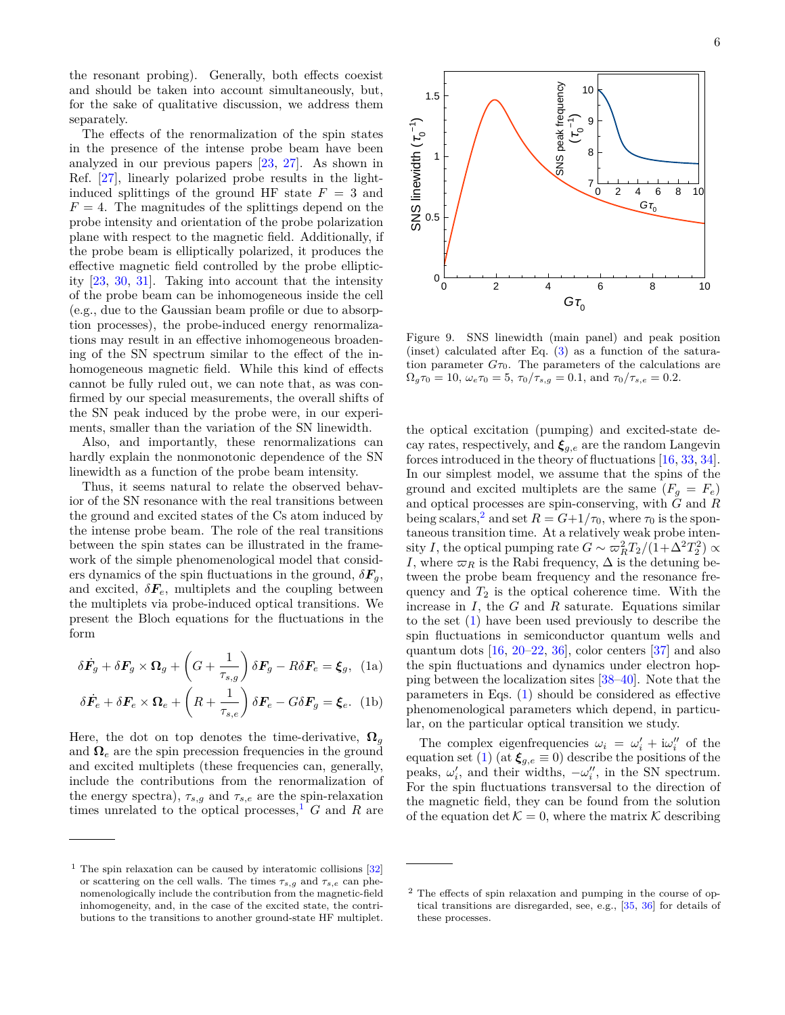the resonant probing). Generally, both effects coexist and should be taken into account simultaneously, but, for the sake of qualitative discussion, we address them separately.

The effects of the renormalization of the spin states in the presence of the intense probe beam have been analyzed in our previous papers [\[23,](#page-8-13) [27\]](#page-8-10). As shown in Ref. [\[27\]](#page-8-10), linearly polarized probe results in the lightinduced splittings of the ground HF state  $F = 3$  and  $F = 4$ . The magnitudes of the splittings depend on the probe intensity and orientation of the probe polarization plane with respect to the magnetic field. Additionally, if the probe beam is elliptically polarized, it produces the effective magnetic field controlled by the probe ellipticity [\[23,](#page-8-13) [30,](#page-8-14) [31\]](#page-8-15). Taking into account that the intensity of the probe beam can be inhomogeneous inside the cell (e.g., due to the Gaussian beam profile or due to absorption processes), the probe-induced energy renormalizations may result in an effective inhomogeneous broadening of the SN spectrum similar to the effect of the inhomogeneous magnetic field. While this kind of effects cannot be fully ruled out, we can note that, as was confirmed by our special measurements, the overall shifts of the SN peak induced by the probe were, in our experiments, smaller than the variation of the SN linewidth.

Also, and importantly, these renormalizations can hardly explain the nonmonotonic dependence of the SN linewidth as a function of the probe beam intensity.

Thus, it seems natural to relate the observed behavior of the SN resonance with the real transitions between the ground and excited states of the Cs atom induced by the intense probe beam. The role of the real transitions between the spin states can be illustrated in the framework of the simple phenomenological model that considers dynamics of the spin fluctuations in the ground,  $\delta F_q$ , and excited,  $\delta F_e$ , multiplets and the coupling between the multiplets via probe-induced optical transitions. We present the Bloch equations for the fluctuations in the form

<span id="page-5-2"></span>
$$
\delta \dot{F}_g + \delta F_g \times \Omega_g + \left( G + \frac{1}{\tau_{s,g}} \right) \delta F_g - R \delta F_e = \xi_g, \text{ (1a)}
$$

$$
\delta \dot{F}_e + \delta F_e \times \Omega_e + \left( R + \frac{1}{\tau_{s,e}} \right) \delta F_e - G \delta F_g = \xi_e. \tag{1b}
$$

Here, the dot on top denotes the time-derivative,  $\Omega_a$ and  $\Omega_e$  are the spin precession frequencies in the ground and excited multiplets (these frequencies can, generally, include the contributions from the renormalization of the energy spectra),  $\tau_{s,g}$  and  $\tau_{s,e}$  are the spin-relaxation times unrelated to the optical processes,<sup>[1](#page-5-0)</sup>  $G$  and  $R$  are

<span id="page-5-3"></span>

Figure 9. SNS linewidth (main panel) and peak position (inset) calculated after Eq. [\(3\)](#page-6-0) as a function of the saturation parameter  $G_{\tau_0}$ . The parameters of the calculations are  $\Omega_g \tau_0 = 10$ ,  $\omega_e \tau_0 = 5$ ,  $\tau_0 / \tau_{s,g} = 0.1$ , and  $\tau_0 / \tau_{s,e} = 0.2$ .

the optical excitation (pumping) and excited-state decay rates, respectively, and  $\xi_{g,e}$  are the random Langevin forces introduced in the theory of fluctuations [\[16,](#page-8-17) [33,](#page-8-18) [34\]](#page-8-19). In our simplest model, we assume that the spins of the ground and excited multiplets are the same  $(F_g = F_e)$ and optical processes are spin-conserving, with *G* and *R* being scalars,<sup>[2](#page-5-1)</sup> and set  $R = G+1/\tau_0$ , where  $\tau_0$  is the spontaneous transition time. At a relatively weak probe intensity *I*, the optical pumping rate  $G \sim \frac{1}{2}T_2/(1+\Delta^2 T_2^2) \propto$ *I*, where  $\varpi_R$  is the Rabi frequency,  $\Delta$  is the detuning between the probe beam frequency and the resonance frequency and  $T_2$  is the optical coherence time. With the increase in *I*, the *G* and *R* saturate. Equations similar to the set [\(1\)](#page-5-2) have been used previously to describe the spin fluctuations in semiconductor quantum wells and quantum dots  $[16, 20-22, 36]$  $[16, 20-22, 36]$  $[16, 20-22, 36]$  $[16, 20-22, 36]$  $[16, 20-22, 36]$ , color centers  $[37]$  and also the spin fluctuations and dynamics under electron hopping between the localization sites [\[38](#page-8-23)[–40\]](#page-8-24). Note that the parameters in Eqs. [\(1\)](#page-5-2) should be considered as effective phenomenological parameters which depend, in particular, on the particular optical transition we study.

The complex eigenfrequencies  $\omega_i = \omega'_i + i\omega''_i$  of the equation set [\(1\)](#page-5-2) (at  $\xi_{g,e} \equiv 0$ ) describe the positions of the peaks,  $\omega'_i$ , and their widths,  $-\omega''_i$ , in the SN spectrum. For the spin fluctuations transversal to the direction of the magnetic field, they can be found from the solution of the equation det  $K = 0$ , where the matrix K describing

<span id="page-5-0"></span><sup>&</sup>lt;sup>1</sup> The spin relaxation can be caused by interatomic collisions  $[32]$ or scattering on the cell walls. The times  $\tau_{s,g}$  and  $\tau_{s,e}$  can phenomenologically include the contribution from the magnetic-field inhomogeneity, and, in the case of the excited state, the contributions to the transitions to another ground-state HF multiplet.

<span id="page-5-1"></span><sup>2</sup> The effects of spin relaxation and pumping in the course of optical transitions are disregarded, see, e.g., [\[35,](#page-8-25) [36\]](#page-8-21) for details of these processes.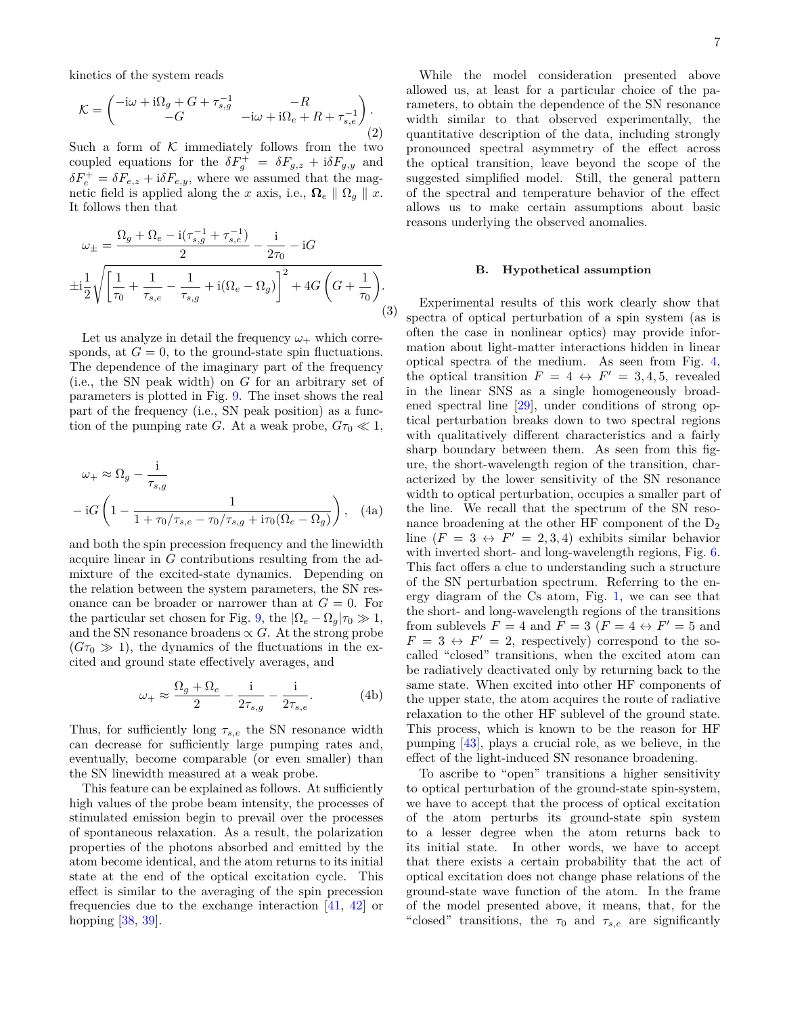kinetics of the system reads

$$
\mathcal{K} = \begin{pmatrix} -\mathrm{i}\omega + \mathrm{i}\Omega_g + G + \tau_{s,g}^{-1} & -R \\ -G & -\mathrm{i}\omega + \mathrm{i}\Omega_e + R + \tau_{s,e}^{-1} \end{pmatrix} . \tag{2}
$$

Such a form of  $K$  immediately follows from the two coupled equations for the  $\delta F_g^+ = \delta F_{g,z} + i \delta F_{g,y}$  and  $\delta F_e^+ = \delta F_{e,z} + i \delta F_{e,y}$ , where we assumed that the magnetic field is applied along the *x* axis, i.e.,  $\Omega_e \parallel \Omega_g \parallel x$ . It follows then that

$$
\omega_{\pm} = \frac{\Omega_g + \Omega_e - i(\tau_{s,g}^{-1} + \tau_{s,e}^{-1})}{2} - \frac{i}{2\tau_0} - iG
$$
  

$$
\pm i\frac{1}{2}\sqrt{\left[\frac{1}{\tau_0} + \frac{1}{\tau_{s,e}} - \frac{1}{\tau_{s,g}} + i(\Omega_e - \Omega_g)\right]^2 + 4G\left(G + \frac{1}{\tau_0}\right)}.
$$
(3)

Let us analyze in detail the frequency  $\omega_+$  which corresponds, at  $G = 0$ , to the ground-state spin fluctuations. The dependence of the imaginary part of the frequency (i.e., the SN peak width) on *G* for an arbitrary set of parameters is plotted in Fig. [9.](#page-5-3) The inset shows the real part of the frequency (i.e., SN peak position) as a function of the pumping rate *G*. At a weak probe,  $G\tau_0 \ll 1$ ,

$$
\omega_{+} \approx \Omega_{g} - \frac{\mathrm{i}}{\tau_{s,g}}
$$

$$
- \mathrm{i}G \left( 1 - \frac{1}{1 + \tau_{0}/\tau_{s,e} - \tau_{0}/\tau_{s,g} + \mathrm{i}\tau_{0}(\Omega_{e} - \Omega_{g})} \right), \quad (4a)
$$

and both the spin precession frequency and the linewidth acquire linear in *G* contributions resulting from the admixture of the excited-state dynamics. Depending on the relation between the system parameters, the SN resonance can be broader or narrower than at  $G = 0$ . For the particular set chosen for Fig. [9,](#page-5-3) the  $|\Omega_e - \Omega_a|\tau_0 \gg 1$ , and the SN resonance broadens  $\propto G$ . At the strong probe  $(G\tau_0 \gg 1)$ , the dynamics of the fluctuations in the excited and ground state effectively averages, and

$$
\omega_{+} \approx \frac{\Omega_{g} + \Omega_{e}}{2} - \frac{i}{2\tau_{s,g}} - \frac{i}{2\tau_{s,e}}.\tag{4b}
$$

Thus, for sufficiently long  $\tau_{s,e}$  the SN resonance width can decrease for sufficiently large pumping rates and, eventually, become comparable (or even smaller) than the SN linewidth measured at a weak probe.

This feature can be explained as follows. At sufficiently high values of the probe beam intensity, the processes of stimulated emission begin to prevail over the processes of spontaneous relaxation. As a result, the polarization properties of the photons absorbed and emitted by the atom become identical, and the atom returns to its initial state at the end of the optical excitation cycle. This effect is similar to the averaging of the spin precession frequencies due to the exchange interaction [\[41,](#page-8-26) [42\]](#page-8-27) or hopping [\[38,](#page-8-23) [39\]](#page-8-28).

While the model consideration presented above allowed us, at least for a particular choice of the parameters, to obtain the dependence of the SN resonance width similar to that observed experimentally, the quantitative description of the data, including strongly pronounced spectral asymmetry of the effect across the optical transition, leave beyond the scope of the suggested simplified model. Still, the general pattern of the spectral and temperature behavior of the effect allows us to make certain assumptions about basic reasons underlying the observed anomalies.

### **B. Hypothetical assumption**

<span id="page-6-0"></span>Experimental results of this work clearly show that spectra of optical perturbation of a spin system (as is often the case in nonlinear optics) may provide information about light-matter interactions hidden in linear optical spectra of the medium. As seen from Fig. [4,](#page-2-3) the optical transition  $F = 4 \leftrightarrow F' = 3, 4, 5$ , revealed in the linear SNS as a single homogeneously broadened spectral line [\[29\]](#page-8-12), under conditions of strong optical perturbation breaks down to two spectral regions with qualitatively different characteristics and a fairly sharp boundary between them. As seen from this figure, the short-wavelength region of the transition, characterized by the lower sensitivity of the SN resonance width to optical perturbation, occupies a smaller part of the line. We recall that the spectrum of the SN resonance broadening at the other HF component of the  $D_2$ line  $(F = 3 \leftrightarrow F' = 2, 3, 4)$  exhibits similar behavior with inverted short- and long-wavelength regions, Fig. [6.](#page-3-3) This fact offers a clue to understanding such a structure of the SN perturbation spectrum. Referring to the energy diagram of the Cs atom, Fig. [1,](#page-1-1) we can see that the short- and long-wavelength regions of the transitions from sublevels  $F = 4$  and  $\overline{F} = 3$   $(F = 4 \leftrightarrow F' = 5$  and  $F = 3 \leftrightarrow F' = 2$ , respectively) correspond to the socalled "closed" transitions, when the excited atom can be radiatively deactivated only by returning back to the same state. When excited into other HF components of the upper state, the atom acquires the route of radiative relaxation to the other HF sublevel of the ground state. This process, which is known to be the reason for HF pumping [\[43\]](#page-8-29), plays a crucial role, as we believe, in the effect of the light-induced SN resonance broadening.

To ascribe to "open" transitions a higher sensitivity to optical perturbation of the ground-state spin-system, we have to accept that the process of optical excitation of the atom perturbs its ground-state spin system to a lesser degree when the atom returns back to its initial state. In other words, we have to accept that there exists a certain probability that the act of optical excitation does not change phase relations of the ground-state wave function of the atom. In the frame of the model presented above, it means, that, for the "closed" transitions, the  $\tau_0$  and  $\tau_{s,e}$  are significantly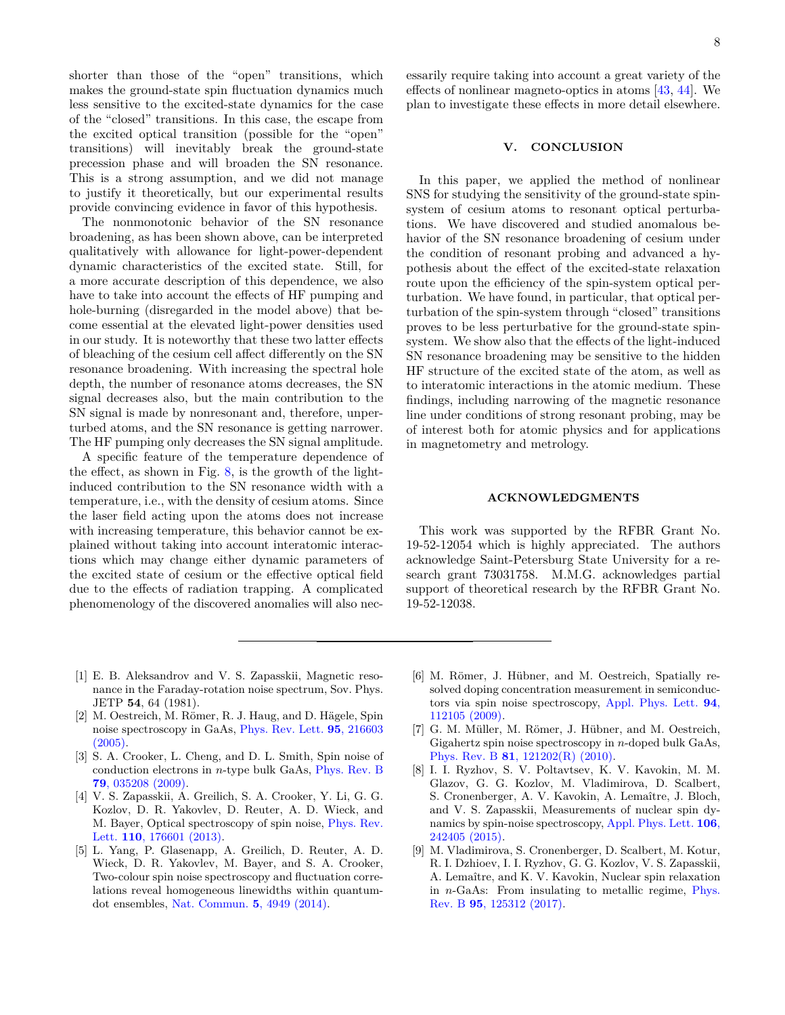shorter than those of the "open" transitions, which makes the ground-state spin fluctuation dynamics much less sensitive to the excited-state dynamics for the case of the "closed" transitions. In this case, the escape from the excited optical transition (possible for the "open" transitions) will inevitably break the ground-state precession phase and will broaden the SN resonance. This is a strong assumption, and we did not manage to justify it theoretically, but our experimental results provide convincing evidence in favor of this hypothesis.

The nonmonotonic behavior of the SN resonance broadening, as has been shown above, can be interpreted qualitatively with allowance for light-power-dependent dynamic characteristics of the excited state. Still, for a more accurate description of this dependence, we also have to take into account the effects of HF pumping and hole-burning (disregarded in the model above) that become essential at the elevated light-power densities used in our study. It is noteworthy that these two latter effects of bleaching of the cesium cell affect differently on the SN resonance broadening. With increasing the spectral hole depth, the number of resonance atoms decreases, the SN signal decreases also, but the main contribution to the SN signal is made by nonresonant and, therefore, unperturbed atoms, and the SN resonance is getting narrower. The HF pumping only decreases the SN signal amplitude.

A specific feature of the temperature dependence of the effect, as shown in Fig. [8,](#page-4-3) is the growth of the lightinduced contribution to the SN resonance width with a temperature, i.e., with the density of cesium atoms. Since the laser field acting upon the atoms does not increase with increasing temperature, this behavior cannot be explained without taking into account interatomic interactions which may change either dynamic parameters of the excited state of cesium or the effective optical field due to the effects of radiation trapping. A complicated phenomenology of the discovered anomalies will also necessarily require taking into account a great variety of the effects of nonlinear magneto-optics in atoms [\[43,](#page-8-29) [44\]](#page-8-30). We plan to investigate these effects in more detail elsewhere.

# <span id="page-7-8"></span>**V. CONCLUSION**

In this paper, we applied the method of nonlinear SNS for studying the sensitivity of the ground-state spinsystem of cesium atoms to resonant optical perturbations. We have discovered and studied anomalous behavior of the SN resonance broadening of cesium under the condition of resonant probing and advanced a hypothesis about the effect of the excited-state relaxation route upon the efficiency of the spin-system optical perturbation. We have found, in particular, that optical perturbation of the spin-system through "closed" transitions proves to be less perturbative for the ground-state spinsystem. We show also that the effects of the light-induced SN resonance broadening may be sensitive to the hidden HF structure of the excited state of the atom, as well as to interatomic interactions in the atomic medium. These findings, including narrowing of the magnetic resonance line under conditions of strong resonant probing, may be of interest both for atomic physics and for applications in magnetometry and metrology.

### **ACKNOWLEDGMENTS**

This work was supported by the RFBR Grant No. 19-52-12054 which is highly appreciated. The authors acknowledge Saint-Petersburg State University for a research grant 73031758. M.M.G. acknowledges partial support of theoretical research by the RFBR Grant No. 19-52-12038.

- <span id="page-7-0"></span>[1] E. B. Aleksandrov and V. S. Zapasskii, Magnetic resonance in the Faraday-rotation noise spectrum, Sov. Phys. JETP **54**, 64 (1981).
- <span id="page-7-1"></span>[2] M. Oestreich, M. Römer, R. J. Haug, and D. Hägele, Spin noise spectroscopy in GaAs, [Phys. Rev. Lett.](https://doi.org/10.1103/PhysRevLett.95.216603) **95**, 216603 [\(2005\).](https://doi.org/10.1103/PhysRevLett.95.216603)
- <span id="page-7-2"></span>[3] S. A. Crooker, L. Cheng, and D. L. Smith, Spin noise of conduction electrons in *n*-type bulk GaAs, [Phys. Rev. B](https://doi.org/10.1103/PhysRevB.79.035208) **79**[, 035208 \(2009\).](https://doi.org/10.1103/PhysRevB.79.035208)
- <span id="page-7-3"></span>[4] V. S. Zapasskii, A. Greilich, S. A. Crooker, Y. Li, G. G. Kozlov, D. R. Yakovlev, D. Reuter, A. D. Wieck, and M. Bayer, Optical spectroscopy of spin noise, [Phys. Rev.](https://doi.org/10.1103/PhysRevLett.110.176601) Lett. **110**[, 176601 \(2013\).](https://doi.org/10.1103/PhysRevLett.110.176601)
- <span id="page-7-4"></span>[5] L. Yang, P. Glasenapp, A. Greilich, D. Reuter, A. D. Wieck, D. R. Yakovlev, M. Bayer, and S. A. Crooker, Two-colour spin noise spectroscopy and fluctuation correlations reveal homogeneous linewidths within quantumdot ensembles, [Nat. Commun.](https://doi.org/10.1038/ncomms5949) **5**, 4949 (2014).
- <span id="page-7-5"></span>[6] M. Römer, J. Hübner, and M. Oestreich, Spatially resolved doping concentration measurement in semiconductors via spin noise spectroscopy, [Appl. Phys. Lett.](https://doi.org/10.1063/1.3098074) **94**, [112105 \(2009\).](https://doi.org/10.1063/1.3098074)
- <span id="page-7-6"></span>[7] G. M. Müller, M. Römer, J. Hübner, and M. Oestreich, Gigahertz spin noise spectroscopy in *n*-doped bulk GaAs, Phys. Rev. B **81**[, 121202\(R\) \(2010\).](https://doi.org/10.1103/PhysRevB.81.121202)
- <span id="page-7-7"></span>[8] I. I. Ryzhov, S. V. Poltavtsev, K. V. Kavokin, M. M. Glazov, G. G. Kozlov, M. Vladimirova, D. Scalbert, S. Cronenberger, A. V. Kavokin, A. Lemaître, J. Bloch, and V. S. Zapasskii, Measurements of nuclear spin dynamics by spin-noise spectroscopy, [Appl. Phys. Lett.](https://doi.org/10.1063/1.4922771) **106**, [242405 \(2015\).](https://doi.org/10.1063/1.4922771)
- [9] M. Vladimirova, S. Cronenberger, D. Scalbert, M. Kotur, R. I. Dzhioev, I. I. Ryzhov, G. G. Kozlov, V. S. Zapasskii, A. Lemaître, and K. V. Kavokin, Nuclear spin relaxation in *n*-GaAs: From insulating to metallic regime, [Phys.](https://doi.org/10.1103/PhysRevB.95.125312) Rev. B **95**[, 125312 \(2017\).](https://doi.org/10.1103/PhysRevB.95.125312)